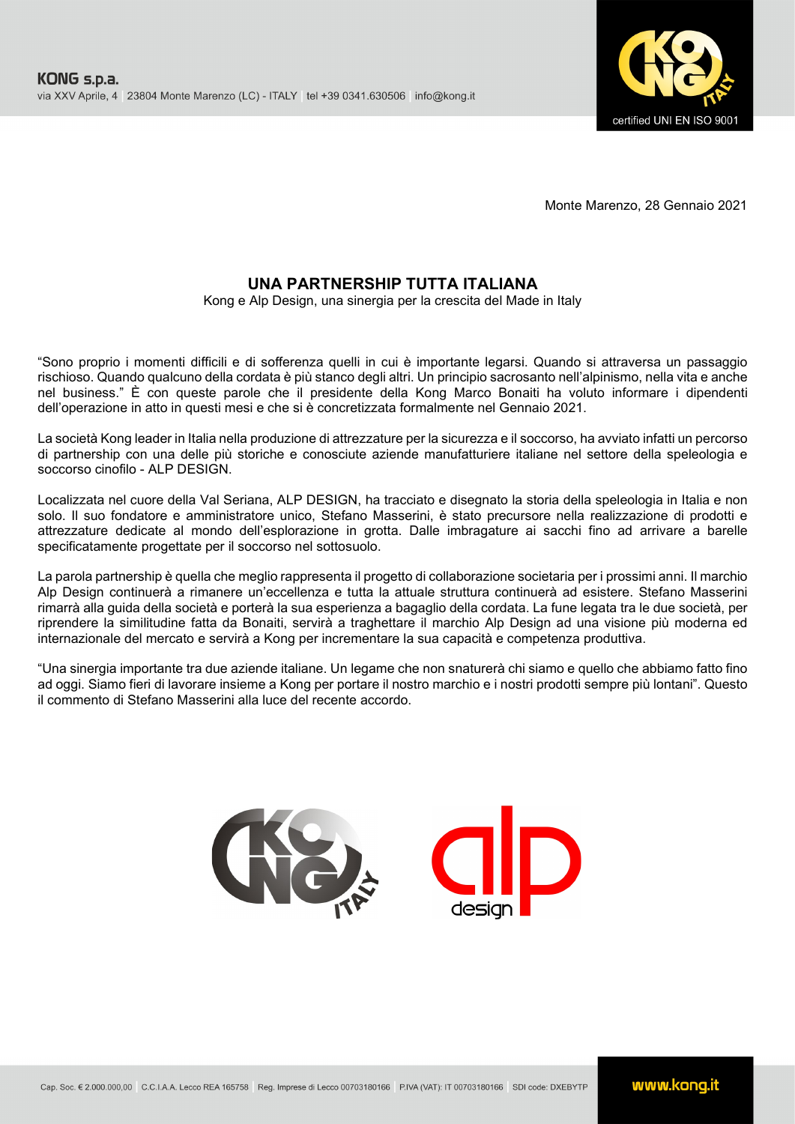

Monte Marenzo, 28 Gennaio 2021

## **UNA PARTNERSHIP TUTTA ITALIANA**

Kong e Alp Design, una sinergia per la crescita del Made in Italy

"Sono proprio i momenti difficili e di sofferenza quelli in cui è importante legarsi. Quando si attraversa un passaggio rischioso. Quando qualcuno della cordata è più stanco degli altri. Un principio sacrosanto nell'alpinismo, nella vita e anche nel business." È con queste parole che il presidente della Kong Marco Bonaiti ha voluto informare i dipendenti dell'operazione in atto in questi mesi e che si è concretizzata formalmente nel Gennaio 2021.

La società Kong leader in Italia nella produzione di attrezzature per la sicurezza e il soccorso, ha avviato infatti un percorso di partnership con una delle più storiche e conosciute aziende manufatturiere italiane nel settore della speleologia e soccorso cinofilo - ALP DESIGN.

Localizzata nel cuore della Val Seriana, ALP DESIGN, ha tracciato e disegnato la storia della speleologia in Italia e non solo. Il suo fondatore e amministratore unico, Stefano Masserini, è stato precursore nella realizzazione di prodotti e attrezzature dedicate al mondo dell'esplorazione in grotta. Dalle imbragature ai sacchi fino ad arrivare a barelle specificatamente progettate per il soccorso nel sottosuolo.

La parola partnership è quella che meglio rappresenta il progetto di collaborazione societaria per i prossimi anni. Il marchio Alp Design continuerà a rimanere un'eccellenza e tutta la attuale struttura continuerà ad esistere. Stefano Masserini rimarrà alla guida della società e porterà la sua esperienza a bagaglio della cordata. La fune legata tra le due società, per riprendere la similitudine fatta da Bonaiti, servirà a traghettare il marchio Alp Design ad una visione più moderna ed internazionale del mercato e servirà a Kong per incrementare la sua capacità e competenza produttiva.

"Una sinergia importante tra due aziende italiane. Un legame che non snaturerà chi siamo e quello che abbiamo fatto fino ad oggi. Siamo fieri di lavorare insieme a Kong per portare il nostro marchio e i nostri prodotti sempre più lontani". Questo il commento di Stefano Masserini alla luce del recente accordo.